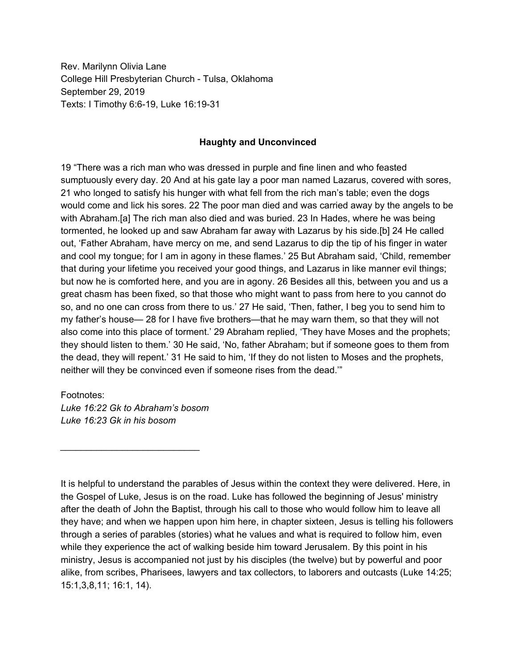Rev. Marilynn Olivia Lane College Hill Presbyterian Church - Tulsa, Oklahoma September 29, 2019 Texts: I Timothy 6:6-19, Luke 16:19-31

## **Haughty and Unconvinced**

19 "There was a rich man who was dressed in purple and fine linen and who feasted sumptuously every day. 20 And at his gate lay a poor man named Lazarus, covered with sores, 21 who longed to satisfy his hunger with what fell from the rich man's table; even the dogs would come and lick his sores. 22 The poor man died and was carried away by the angels to be with Abraham.[a] The rich man also died and was buried. 23 In Hades, where he was being tormented, he looked up and saw Abraham far away with Lazarus by his side.[b] 24 He called out, 'Father Abraham, have mercy on me, and send Lazarus to dip the tip of his finger in water and cool my tongue; for I am in agony in these flames.' 25 But Abraham said, 'Child, remember that during your lifetime you received your good things, and Lazarus in like manner evil things; but now he is comforted here, and you are in agony. 26 Besides all this, between you and us a great chasm has been fixed, so that those who might want to pass from here to you cannot do so, and no one can cross from there to us.' 27 He said, 'Then, father, I beg you to send him to my father's house— 28 for I have five brothers—that he may warn them, so that they will not also come into this place of torment.' 29 Abraham replied, 'They have Moses and the prophets; they should listen to them.' 30 He said, 'No, father Abraham; but if someone goes to them from the dead, they will repent.' 31 He said to him, 'If they do not listen to Moses and the prophets, neither will they be convinced even if someone rises from the dead.'"

Footnotes:

*Luke 16:22 Gk to Abraham's bosom Luke 16:23 Gk in his bosom*

*\_\_\_\_\_\_\_\_\_\_\_\_\_\_\_\_\_\_\_\_\_\_\_\_\_\_\_*

It is helpful to understand the parables of Jesus within the context they were delivered. Here, in the Gospel of Luke, Jesus is on the road. Luke has followed the beginning of Jesus' ministry after the death of John the Baptist, through his call to those who would follow him to leave all they have; and when we happen upon him here, in chapter sixteen, Jesus is telling his followers through a series of parables (stories) what he values and what is required to follow him, even while they experience the act of walking beside him toward Jerusalem. By this point in his ministry, Jesus is accompanied not just by his disciples (the twelve) but by powerful and poor alike, from scribes, Pharisees, lawyers and tax collectors, to laborers and outcasts (Luke 14:25; 15:1,3,8,11; 16:1, 14).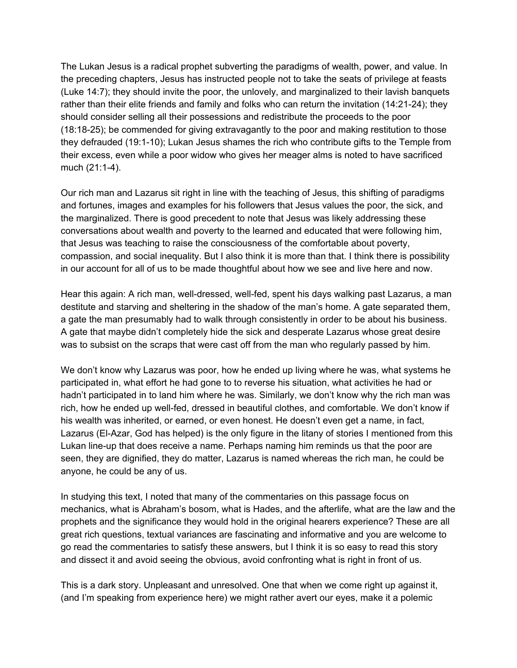The Lukan Jesus is a radical prophet subverting the paradigms of wealth, power, and value. In the preceding chapters, Jesus has instructed people not to take the seats of privilege at feasts (Luke 14:7); they should invite the poor, the unlovely, and marginalized to their lavish banquets rather than their elite friends and family and folks who can return the invitation (14:21-24); they should consider selling all their possessions and redistribute the proceeds to the poor (18:18-25); be commended for giving extravagantly to the poor and making restitution to those they defrauded (19:1-10); Lukan Jesus shames the rich who contribute gifts to the Temple from their excess, even while a poor widow who gives her meager alms is noted to have sacrificed much (21:1-4).

Our rich man and Lazarus sit right in line with the teaching of Jesus, this shifting of paradigms and fortunes, images and examples for his followers that Jesus values the poor, the sick, and the marginalized. There is good precedent to note that Jesus was likely addressing these conversations about wealth and poverty to the learned and educated that were following him, that Jesus was teaching to raise the consciousness of the comfortable about poverty, compassion, and social inequality. But I also think it is more than that. I think there is possibility in our account for all of us to be made thoughtful about how we see and live here and now.

Hear this again: A rich man, well-dressed, well-fed, spent his days walking past Lazarus, a man destitute and starving and sheltering in the shadow of the man's home. A gate separated them, a gate the man presumably had to walk through consistently in order to be about his business. A gate that maybe didn't completely hide the sick and desperate Lazarus whose great desire was to subsist on the scraps that were cast off from the man who regularly passed by him.

We don't know why Lazarus was poor, how he ended up living where he was, what systems he participated in, what effort he had gone to to reverse his situation, what activities he had or hadn't participated in to land him where he was. Similarly, we don't know why the rich man was rich, how he ended up well-fed, dressed in beautiful clothes, and comfortable. We don't know if his wealth was inherited, or earned, or even honest. He doesn't even get a name, in fact, Lazarus (El-Azar, God has helped) is the only figure in the litany of stories I mentioned from this Lukan line-up that does receive a name. Perhaps naming him reminds us that the poor are seen, they are dignified, they do matter, Lazarus is named whereas the rich man, he could be anyone, he could be any of us.

In studying this text, I noted that many of the commentaries on this passage focus on mechanics, what is Abraham's bosom, what is Hades, and the afterlife, what are the law and the prophets and the significance they would hold in the original hearers experience? These are all great rich questions, textual variances are fascinating and informative and you are welcome to go read the commentaries to satisfy these answers, but I think it is so easy to read this story and dissect it and avoid seeing the obvious, avoid confronting what is right in front of us.

This is a dark story. Unpleasant and unresolved. One that when we come right up against it, (and I'm speaking from experience here) we might rather avert our eyes, make it a polemic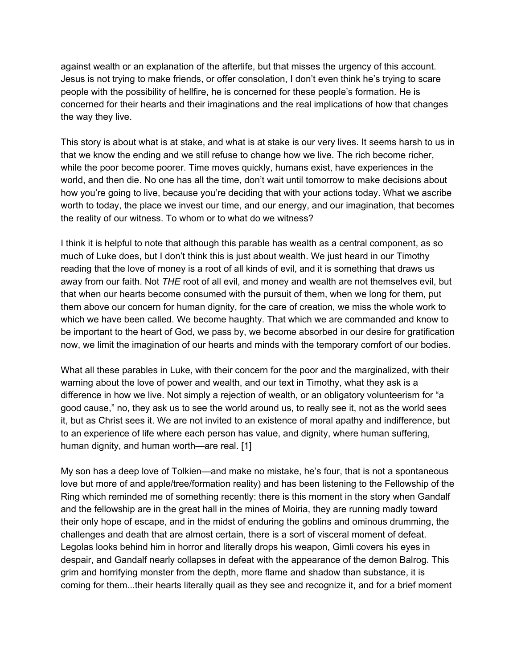against wealth or an explanation of the afterlife, but that misses the urgency of this account. Jesus is not trying to make friends, or offer consolation, I don't even think he's trying to scare people with the possibility of hellfire, he is concerned for these people's formation. He is concerned for their hearts and their imaginations and the real implications of how that changes the way they live.

This story is about what is at stake, and what is at stake is our very lives. It seems harsh to us in that we know the ending and we still refuse to change how we live. The rich become richer, while the poor become poorer. Time moves quickly, humans exist, have experiences in the world, and then die. No one has all the time, don't wait until tomorrow to make decisions about how you're going to live, because you're deciding that with your actions today. What we ascribe worth to today, the place we invest our time, and our energy, and our imagination, that becomes the reality of our witness. To whom or to what do we witness?

I think it is helpful to note that although this parable has wealth as a central component, as so much of Luke does, but I don't think this is just about wealth. We just heard in our Timothy reading that the love of money is a root of all kinds of evil, and it is something that draws us away from our faith. Not *THE* root of all evil, and money and wealth are not themselves evil, but that when our hearts become consumed with the pursuit of them, when we long for them, put them above our concern for human dignity, for the care of creation, we miss the whole work to which we have been called. We become haughty. That which we are commanded and know to be important to the heart of God, we pass by, we become absorbed in our desire for gratification now, we limit the imagination of our hearts and minds with the temporary comfort of our bodies.

What all these parables in Luke, with their concern for the poor and the marginalized, with their warning about the love of power and wealth, and our text in Timothy, what they ask is a difference in how we live. Not simply a rejection of wealth, or an obligatory volunteerism for "a good cause," no, they ask us to see the world around us, to really see it, not as the world sees it, but as Christ sees it. We are not invited to an existence of moral apathy and indifference, but to an experience of life where each person has value, and dignity, where human suffering, human dignity, and human worth—are real. [1]

My son has a deep love of Tolkien—and make no mistake, he's four, that is not a spontaneous love but more of and apple/tree/formation reality) and has been listening to the Fellowship of the Ring which reminded me of something recently: there is this moment in the story when Gandalf and the fellowship are in the great hall in the mines of Moiria, they are running madly toward their only hope of escape, and in the midst of enduring the goblins and ominous drumming, the challenges and death that are almost certain, there is a sort of visceral moment of defeat. Legolas looks behind him in horror and literally drops his weapon, Gimli covers his eyes in despair, and Gandalf nearly collapses in defeat with the appearance of the demon Balrog. This grim and horrifying monster from the depth, more flame and shadow than substance, it is coming for them...their hearts literally quail as they see and recognize it, and for a brief moment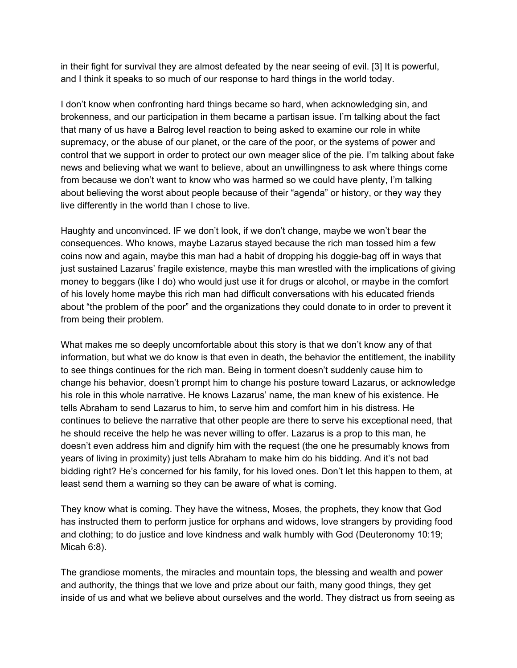in their fight for survival they are almost defeated by the near seeing of evil. [3] It is powerful, and I think it speaks to so much of our response to hard things in the world today.

I don't know when confronting hard things became so hard, when acknowledging sin, and brokenness, and our participation in them became a partisan issue. I'm talking about the fact that many of us have a Balrog level reaction to being asked to examine our role in white supremacy, or the abuse of our planet, or the care of the poor, or the systems of power and control that we support in order to protect our own meager slice of the pie. I'm talking about fake news and believing what we want to believe, about an unwillingness to ask where things come from because we don't want to know who was harmed so we could have plenty, I'm talking about believing the worst about people because of their "agenda" or history, or they way they live differently in the world than I chose to live.

Haughty and unconvinced. IF we don't look, if we don't change, maybe we won't bear the consequences. Who knows, maybe Lazarus stayed because the rich man tossed him a few coins now and again, maybe this man had a habit of dropping his doggie-bag off in ways that just sustained Lazarus' fragile existence, maybe this man wrestled with the implications of giving money to beggars (like I do) who would just use it for drugs or alcohol, or maybe in the comfort of his lovely home maybe this rich man had difficult conversations with his educated friends about "the problem of the poor" and the organizations they could donate to in order to prevent it from being their problem.

What makes me so deeply uncomfortable about this story is that we don't know any of that information, but what we do know is that even in death, the behavior the entitlement, the inability to see things continues for the rich man. Being in torment doesn't suddenly cause him to change his behavior, doesn't prompt him to change his posture toward Lazarus, or acknowledge his role in this whole narrative. He knows Lazarus' name, the man knew of his existence. He tells Abraham to send Lazarus to him, to serve him and comfort him in his distress. He continues to believe the narrative that other people are there to serve his exceptional need, that he should receive the help he was never willing to offer. Lazarus is a prop to this man, he doesn't even address him and dignify him with the request (the one he presumably knows from years of living in proximity) just tells Abraham to make him do his bidding. And it's not bad bidding right? He's concerned for his family, for his loved ones. Don't let this happen to them, at least send them a warning so they can be aware of what is coming.

They know what is coming. They have the witness, Moses, the prophets, they know that God has instructed them to perform justice for orphans and widows, love strangers by providing food and clothing; to do justice and love kindness and walk humbly with God (Deuteronomy 10:19; Micah 6:8).

The grandiose moments, the miracles and mountain tops, the blessing and wealth and power and authority, the things that we love and prize about our faith, many good things, they get inside of us and what we believe about ourselves and the world. They distract us from seeing as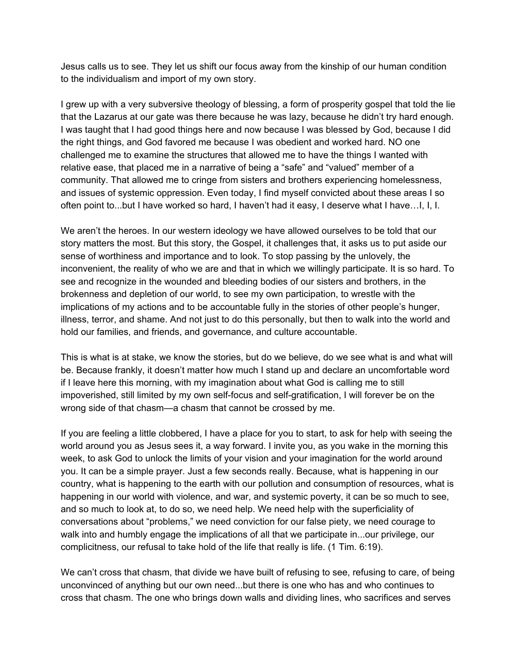Jesus calls us to see. They let us shift our focus away from the kinship of our human condition to the individualism and import of my own story.

I grew up with a very subversive theology of blessing, a form of prosperity gospel that told the lie that the Lazarus at our gate was there because he was lazy, because he didn't try hard enough. I was taught that I had good things here and now because I was blessed by God, because I did the right things, and God favored me because I was obedient and worked hard. NO one challenged me to examine the structures that allowed me to have the things I wanted with relative ease, that placed me in a narrative of being a "safe" and "valued" member of a community. That allowed me to cringe from sisters and brothers experiencing homelessness, and issues of systemic oppression. Even today, I find myself convicted about these areas I so often point to...but I have worked so hard, I haven't had it easy, I deserve what I have…I, I, I.

We aren't the heroes. In our western ideology we have allowed ourselves to be told that our story matters the most. But this story, the Gospel, it challenges that, it asks us to put aside our sense of worthiness and importance and to look. To stop passing by the unlovely, the inconvenient, the reality of who we are and that in which we willingly participate. It is so hard. To see and recognize in the wounded and bleeding bodies of our sisters and brothers, in the brokenness and depletion of our world, to see my own participation, to wrestle with the implications of my actions and to be accountable fully in the stories of other people's hunger, illness, terror, and shame. And not just to do this personally, but then to walk into the world and hold our families, and friends, and governance, and culture accountable.

This is what is at stake, we know the stories, but do we believe, do we see what is and what will be. Because frankly, it doesn't matter how much I stand up and declare an uncomfortable word if I leave here this morning, with my imagination about what God is calling me to still impoverished, still limited by my own self-focus and self-gratification, I will forever be on the wrong side of that chasm—a chasm that cannot be crossed by me.

If you are feeling a little clobbered, I have a place for you to start, to ask for help with seeing the world around you as Jesus sees it, a way forward. I invite you, as you wake in the morning this week, to ask God to unlock the limits of your vision and your imagination for the world around you. It can be a simple prayer. Just a few seconds really. Because, what is happening in our country, what is happening to the earth with our pollution and consumption of resources, what is happening in our world with violence, and war, and systemic poverty, it can be so much to see, and so much to look at, to do so, we need help. We need help with the superficiality of conversations about "problems," we need conviction for our false piety, we need courage to walk into and humbly engage the implications of all that we participate in...our privilege, our complicitness, our refusal to take hold of the life that really is life. (1 Tim. 6:19).

We can't cross that chasm, that divide we have built of refusing to see, refusing to care, of being unconvinced of anything but our own need...but there is one who has and who continues to cross that chasm. The one who brings down walls and dividing lines, who sacrifices and serves